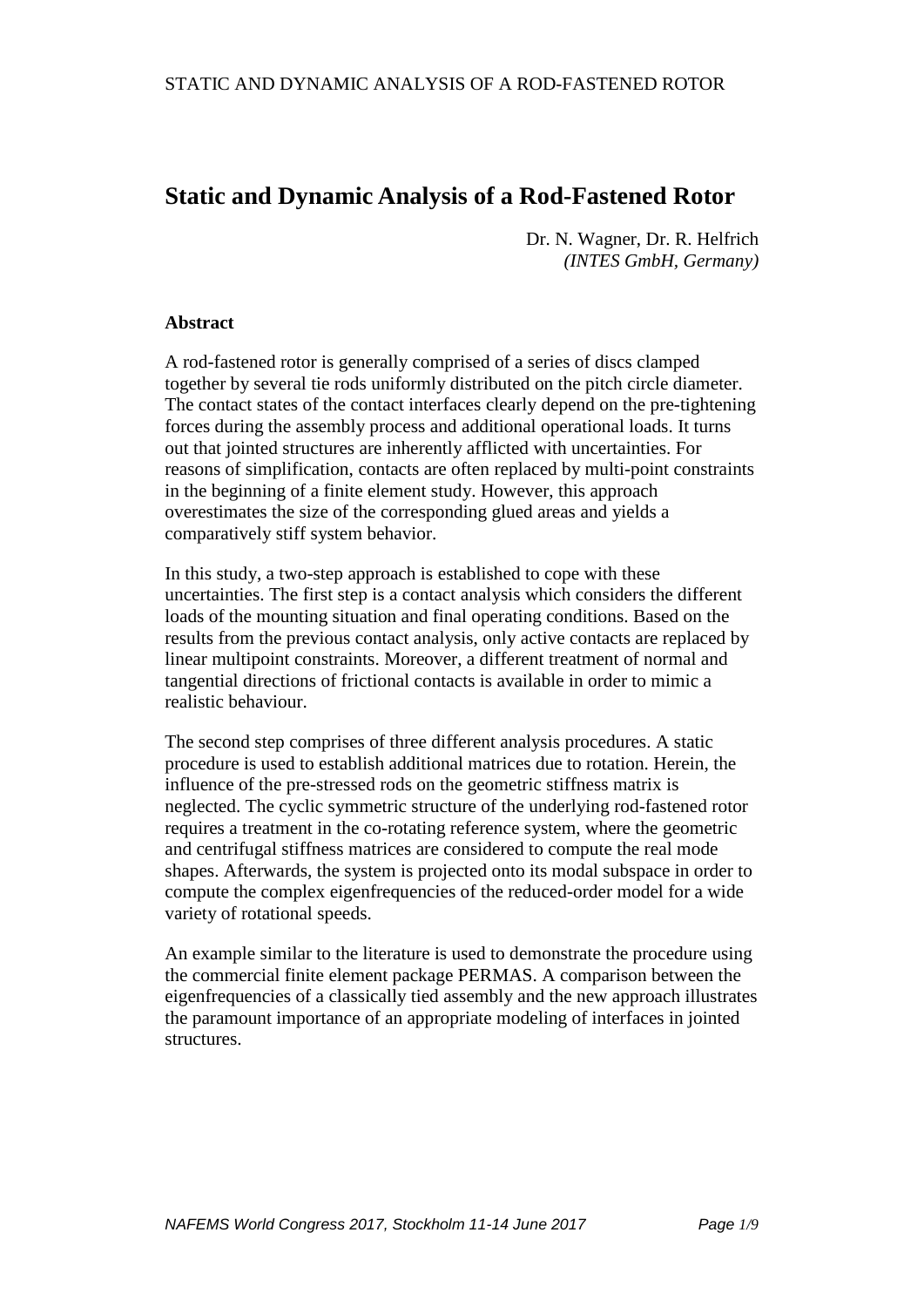# **Static and Dynamic Analysis of a Rod-Fastened Rotor**

Dr. N. Wagner, Dr. R. Helfrich *(INTES GmbH, Germany)*

#### **Abstract**

A rod-fastened rotor is generally comprised of a series of discs clamped together by several tie rods uniformly distributed on the pitch circle diameter. The contact states of the contact interfaces clearly depend on the pre-tightening forces during the assembly process and additional operational loads. It turns out that jointed structures are inherently afflicted with uncertainties. For reasons of simplification, contacts are often replaced by multi-point constraints in the beginning of a finite element study. However, this approach overestimates the size of the corresponding glued areas and yields a comparatively stiff system behavior.

In this study, a two-step approach is established to cope with these uncertainties. The first step is a contact analysis which considers the different loads of the mounting situation and final operating conditions. Based on the results from the previous contact analysis, only active contacts are replaced by linear multipoint constraints. Moreover, a different treatment of normal and tangential directions of frictional contacts is available in order to mimic a realistic behaviour.

The second step comprises of three different analysis procedures. A static procedure is used to establish additional matrices due to rotation. Herein, the influence of the pre-stressed rods on the geometric stiffness matrix is neglected. The cyclic symmetric structure of the underlying rod-fastened rotor requires a treatment in the co-rotating reference system, where the geometric and centrifugal stiffness matrices are considered to compute the real mode shapes. Afterwards, the system is projected onto its modal subspace in order to compute the complex eigenfrequencies of the reduced-order model for a wide variety of rotational speeds.

An example similar to the literature is used to demonstrate the procedure using the commercial finite element package PERMAS. A comparison between the eigenfrequencies of a classically tied assembly and the new approach illustrates the paramount importance of an appropriate modeling of interfaces in jointed structures.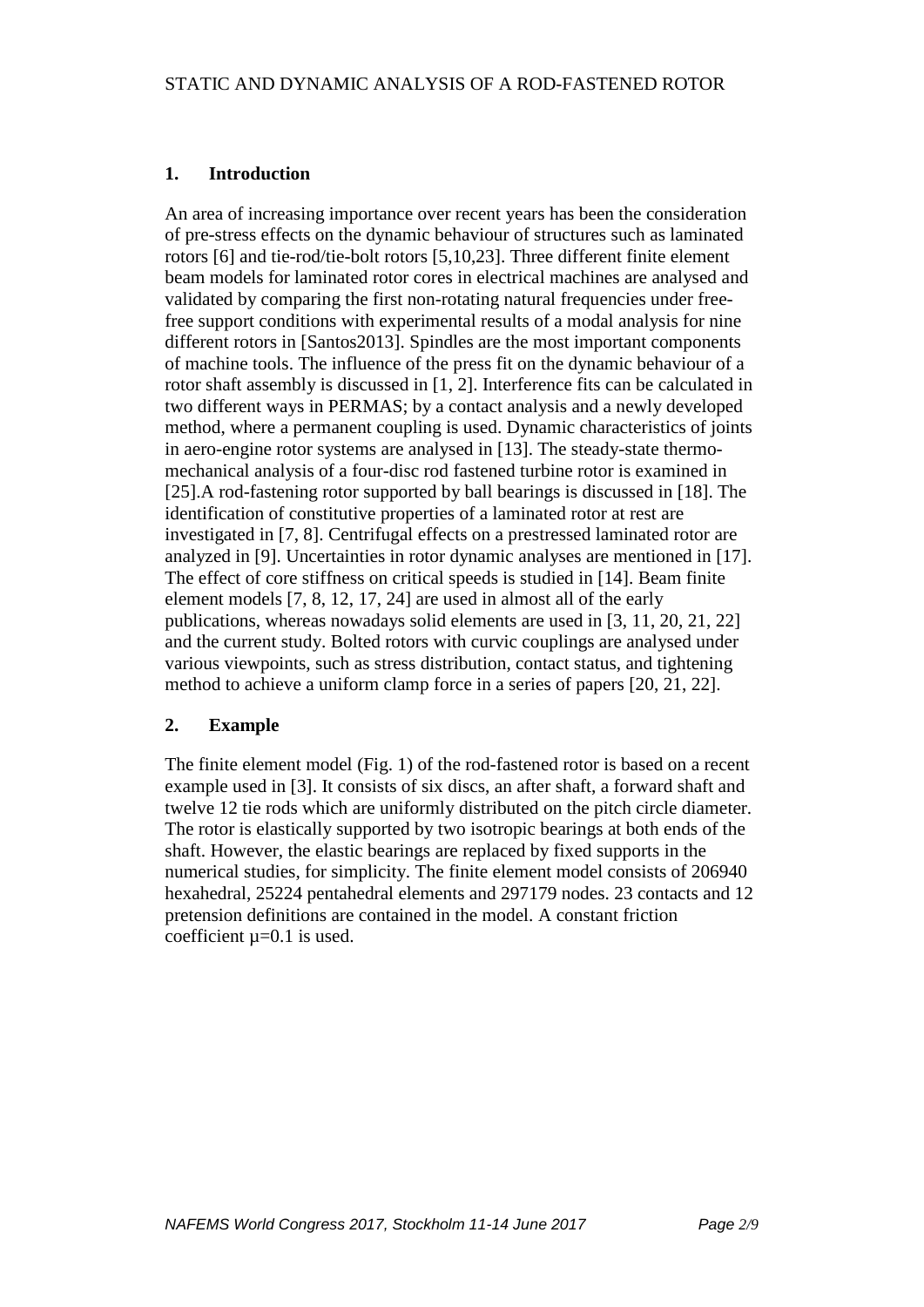## **1. Introduction**

An area of increasing importance over recent years has been the consideration of pre-stress effects on the dynamic behaviour of structures such as laminated rotors [6] and tie-rod/tie-bolt rotors [5,10,23]. Three different finite element beam models for laminated rotor cores in electrical machines are analysed and validated by comparing the first non-rotating natural frequencies under freefree support conditions with experimental results of a modal analysis for nine different rotors in [Santos2013]. Spindles are the most important components of machine tools. The influence of the press fit on the dynamic behaviour of a rotor shaft assembly is discussed in [1, 2]. Interference fits can be calculated in two different ways in PERMAS; by a contact analysis and a newly developed method, where a permanent coupling is used. Dynamic characteristics of joints in aero-engine rotor systems are analysed in [13]. The steady-state thermomechanical analysis of a four-disc rod fastened turbine rotor is examined in [25].A rod-fastening rotor supported by ball bearings is discussed in [18]. The identification of constitutive properties of a laminated rotor at rest are investigated in [7, 8]. Centrifugal effects on a prestressed laminated rotor are analyzed in [9]. Uncertainties in rotor dynamic analyses are mentioned in [17]. The effect of core stiffness on critical speeds is studied in [14]. Beam finite element models [7, 8, 12, 17, 24] are used in almost all of the early publications, whereas nowadays solid elements are used in [3, 11, 20, 21, 22] and the current study. Bolted rotors with curvic couplings are analysed under various viewpoints, such as stress distribution, contact status, and tightening method to achieve a uniform clamp force in a series of papers [20, 21, 22].

## **2. Example**

The finite element model (Fig. 1) of the rod-fastened rotor is based on a recent example used in [3]. It consists of six discs, an after shaft, a forward shaft and twelve 12 tie rods which are uniformly distributed on the pitch circle diameter. The rotor is elastically supported by two isotropic bearings at both ends of the shaft. However, the elastic bearings are replaced by fixed supports in the numerical studies, for simplicity. The finite element model consists of 206940 hexahedral, 25224 pentahedral elements and 297179 nodes. 23 contacts and 12 pretension definitions are contained in the model. A constant friction coefficient  $\mu$ =0.1 is used.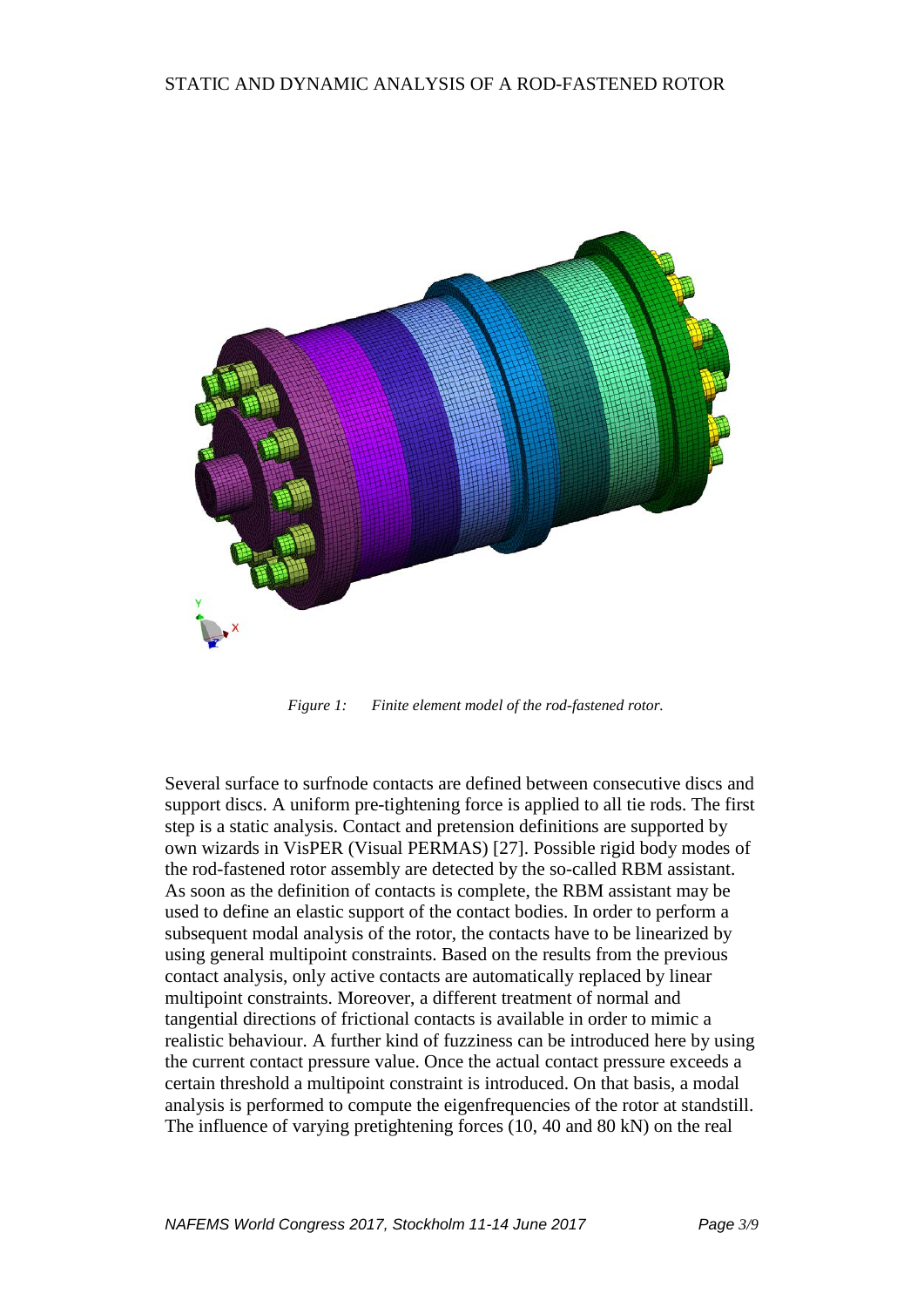

*Figure 1: Finite element model of the rod-fastened rotor.*

Several surface to surfnode contacts are defined between consecutive discs and support discs. A uniform pre-tightening force is applied to all tie rods. The first step is a static analysis. Contact and pretension definitions are supported by own wizards in VisPER (Visual PERMAS) [27]. Possible rigid body modes of the rod-fastened rotor assembly are detected by the so-called RBM assistant. As soon as the definition of contacts is complete, the RBM assistant may be used to define an elastic support of the contact bodies. In order to perform a subsequent modal analysis of the rotor, the contacts have to be linearized by using general multipoint constraints. Based on the results from the previous contact analysis, only active contacts are automatically replaced by linear multipoint constraints. Moreover, a different treatment of normal and tangential directions of frictional contacts is available in order to mimic a realistic behaviour. A further kind of fuzziness can be introduced here by using the current contact pressure value. Once the actual contact pressure exceeds a certain threshold a multipoint constraint is introduced. On that basis, a modal analysis is performed to compute the eigenfrequencies of the rotor at standstill. The influence of varying pretightening forces (10, 40 and 80 kN) on the real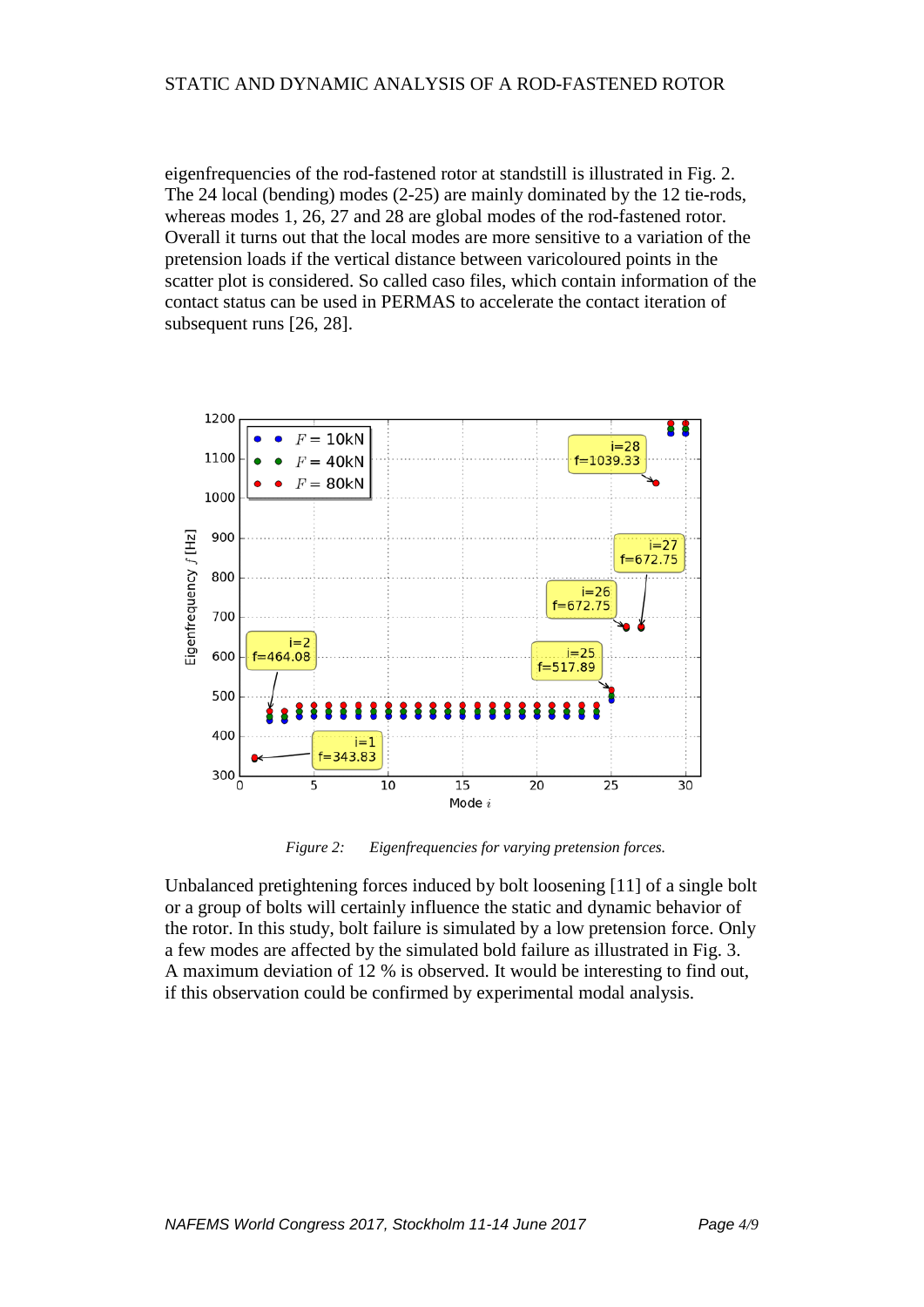### STATIC AND DYNAMIC ANALYSIS OF A ROD-FASTENED ROTOR

eigenfrequencies of the rod-fastened rotor at standstill is illustrated in Fig. 2. The 24 local (bending) modes (2-25) are mainly dominated by the 12 tie-rods, whereas modes 1, 26, 27 and 28 are global modes of the rod-fastened rotor. Overall it turns out that the local modes are more sensitive to a variation of the pretension loads if the vertical distance between varicoloured points in the scatter plot is considered. So called caso files, which contain information of the contact status can be used in PERMAS to accelerate the contact iteration of subsequent runs [26, 28].



*Figure 2: Eigenfrequencies for varying pretension forces.*

Unbalanced pretightening forces induced by bolt loosening [11] of a single bolt or a group of bolts will certainly influence the static and dynamic behavior of the rotor. In this study, bolt failure is simulated by a low pretension force. Only a few modes are affected by the simulated bold failure as illustrated in Fig. 3. A maximum deviation of 12 % is observed. It would be interesting to find out, if this observation could be confirmed by experimental modal analysis.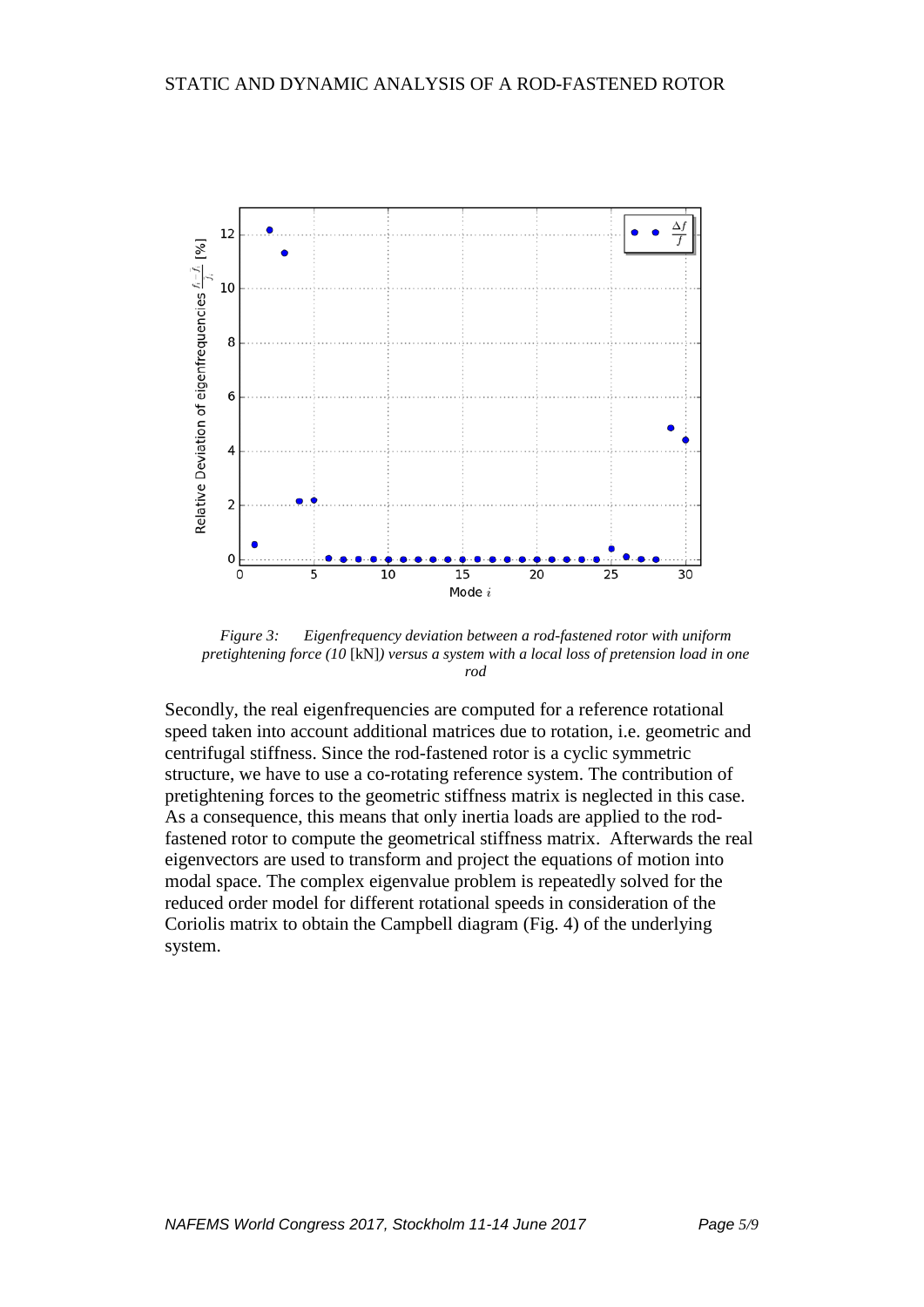

*Figure 3: Eigenfrequency deviation between a rod-fastened rotor with uniform pretightening force (10* [kN]*) versus a system with a local loss of pretension load in one rod*

Secondly, the real eigenfrequencies are computed for a reference rotational speed taken into account additional matrices due to rotation, i.e. geometric and centrifugal stiffness. Since the rod-fastened rotor is a cyclic symmetric structure, we have to use a co-rotating reference system. The contribution of pretightening forces to the geometric stiffness matrix is neglected in this case. As a consequence, this means that only inertia loads are applied to the rodfastened rotor to compute the geometrical stiffness matrix. Afterwards the real eigenvectors are used to transform and project the equations of motion into modal space. The complex eigenvalue problem is repeatedly solved for the reduced order model for different rotational speeds in consideration of the Coriolis matrix to obtain the Campbell diagram (Fig. 4) of the underlying system.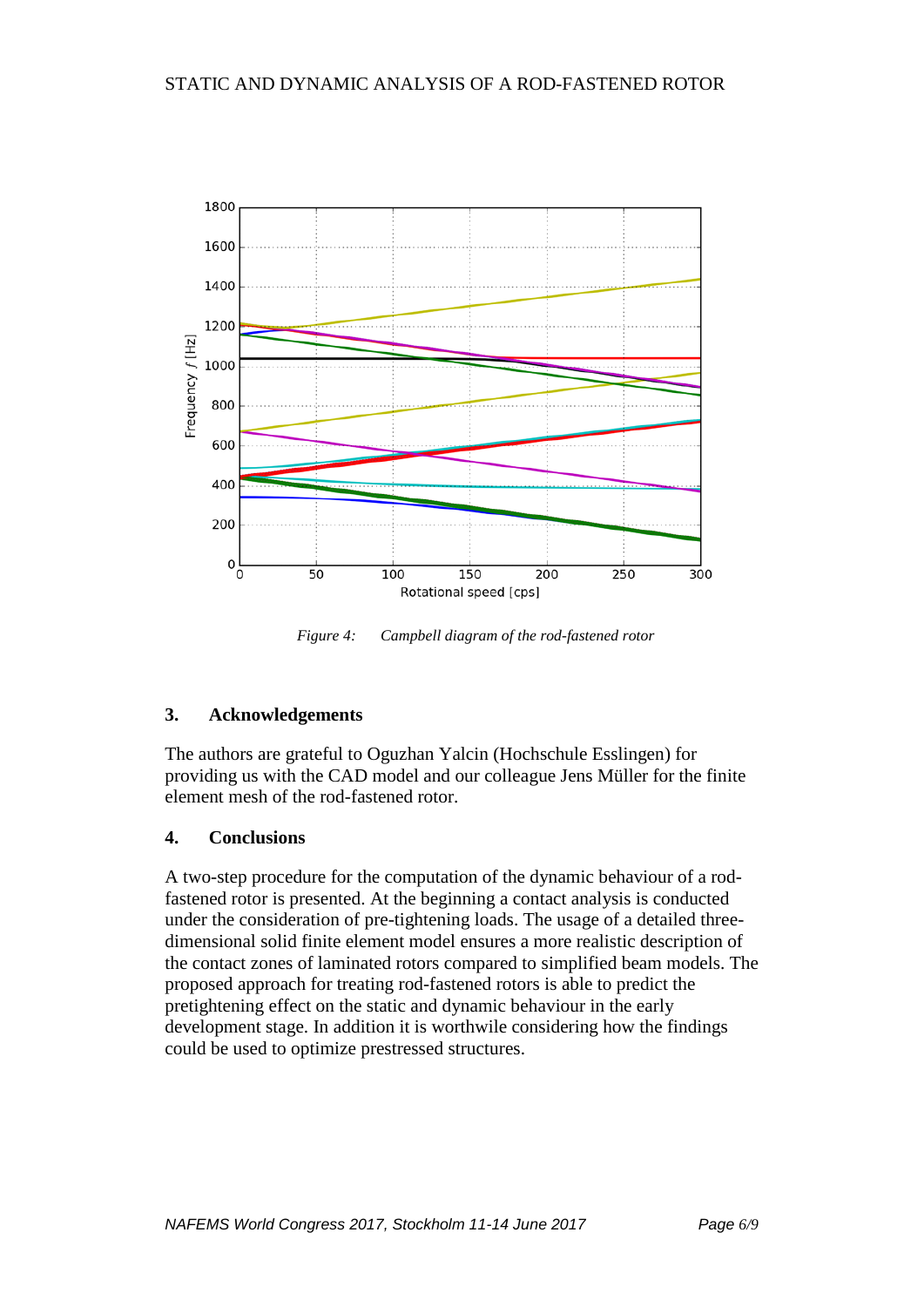

*Figure 4: Campbell diagram of the rod-fastened rotor*

### **3. Acknowledgements**

The authors are grateful to Oguzhan Yalcin (Hochschule Esslingen) for providing us with the CAD model and our colleague Jens Müller for the finite element mesh of the rod-fastened rotor.

### **4. Conclusions**

A two-step procedure for the computation of the dynamic behaviour of a rodfastened rotor is presented. At the beginning a contact analysis is conducted under the consideration of pre-tightening loads. The usage of a detailed threedimensional solid finite element model ensures a more realistic description of the contact zones of laminated rotors compared to simplified beam models. The proposed approach for treating rod-fastened rotors is able to predict the pretightening effect on the static and dynamic behaviour in the early development stage. In addition it is worthwile considering how the findings could be used to optimize prestressed structures.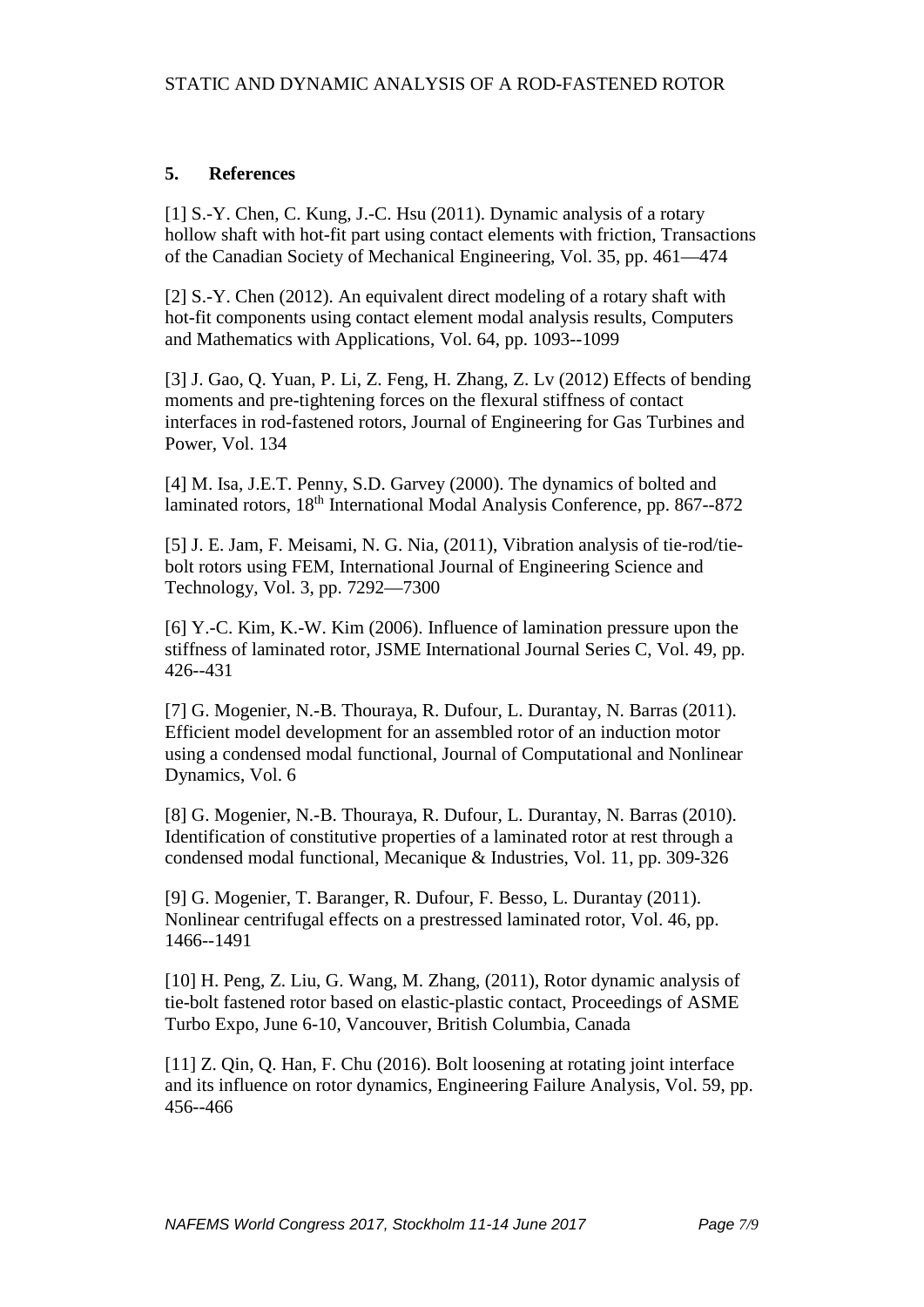## **5. References**

[1] S.-Y. Chen, C. Kung, J.-C. Hsu (2011). Dynamic analysis of a rotary hollow shaft with hot-fit part using contact elements with friction, Transactions of the Canadian Society of Mechanical Engineering, Vol. 35, pp. 461—474

[2] S.-Y. Chen (2012). An equivalent direct modeling of a rotary shaft with hot-fit components using contact element modal analysis results, Computers and Mathematics with Applications, Vol. 64, pp. 1093--1099

[3] J. Gao, Q. Yuan, P. Li, Z. Feng, H. Zhang, Z. Lv (2012) Effects of bending moments and pre-tightening forces on the flexural stiffness of contact interfaces in rod-fastened rotors, Journal of Engineering for Gas Turbines and Power, Vol. 134

[4] M. Isa, J.E.T. Penny, S.D. Garvey (2000). The dynamics of bolted and laminated rotors, 18th International Modal Analysis Conference, pp. 867--872

[5] J. E. Jam, F. Meisami, N. G. Nia, (2011), Vibration analysis of tie-rod/tiebolt rotors using FEM, International Journal of Engineering Science and Technology, Vol. 3, pp. 7292—7300

[6] Y.-C. Kim, K.-W. Kim (2006). Influence of lamination pressure upon the stiffness of laminated rotor, JSME International Journal Series C, Vol. 49, pp. 426--431

[7] G. Mogenier, N.-B. Thouraya, R. Dufour, L. Durantay, N. Barras (2011). Efficient model development for an assembled rotor of an induction motor using a condensed modal functional, Journal of Computational and Nonlinear Dynamics, Vol. 6

[8] G. Mogenier, N.-B. Thouraya, R. Dufour, L. Durantay, N. Barras (2010). Identification of constitutive properties of a laminated rotor at rest through a condensed modal functional, Mecanique & Industries, Vol. 11, pp. 309-326

[9] G. Mogenier, T. Baranger, R. Dufour, F. Besso, L. Durantay (2011). Nonlinear centrifugal effects on a prestressed laminated rotor, Vol. 46, pp. 1466--1491

[10] H. Peng, Z. Liu, G. Wang, M. Zhang, (2011), Rotor dynamic analysis of tie-bolt fastened rotor based on elastic-plastic contact, Proceedings of ASME Turbo Expo, June 6-10, Vancouver, British Columbia, Canada

[11] Z. Qin, Q. Han, F. Chu (2016). Bolt loosening at rotating joint interface and its influence on rotor dynamics, Engineering Failure Analysis, Vol. 59, pp. 456--466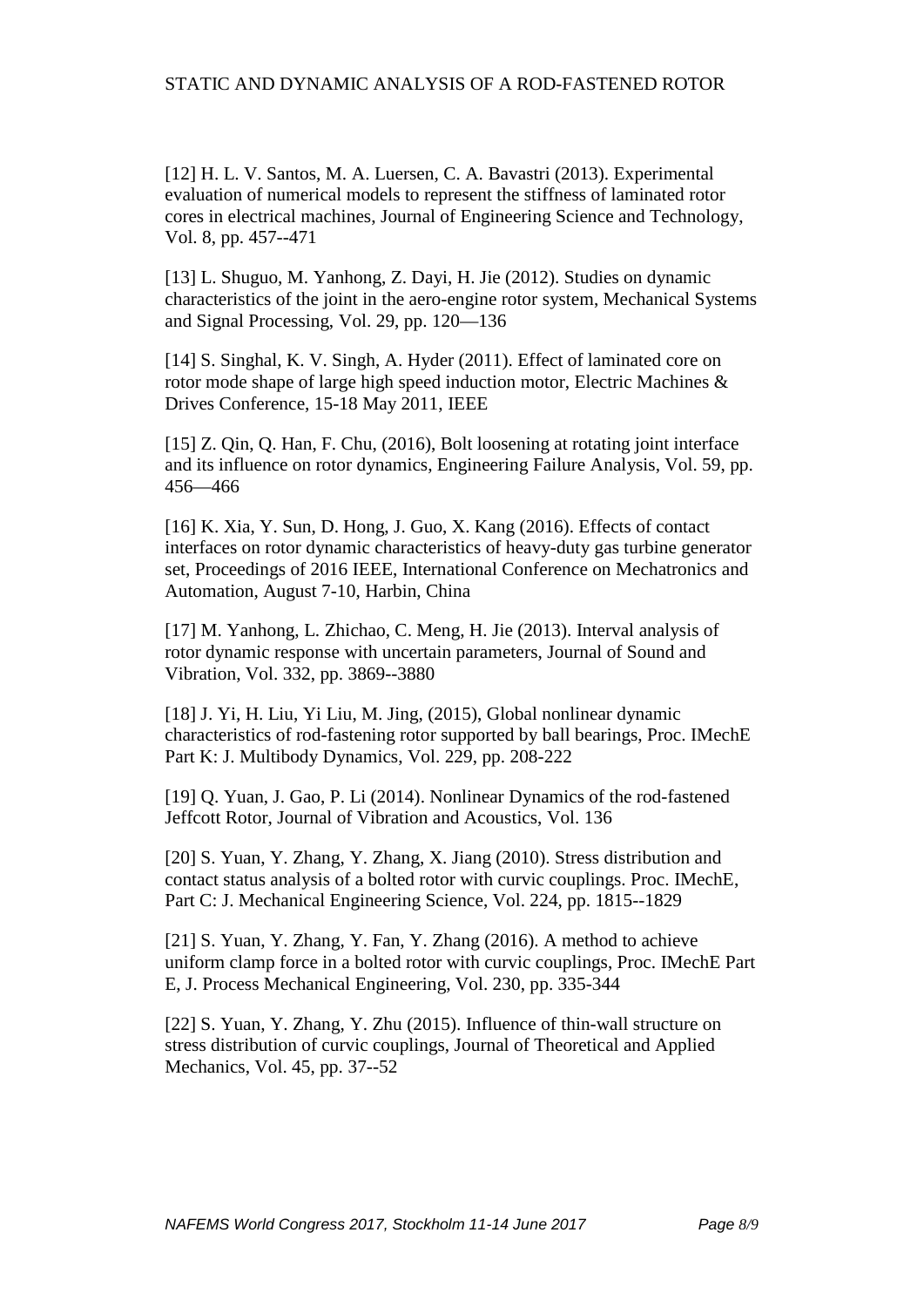### STATIC AND DYNAMIC ANALYSIS OF A ROD-FASTENED ROTOR

[12] H. L. V. Santos, M. A. Luersen, C. A. Bavastri (2013). Experimental evaluation of numerical models to represent the stiffness of laminated rotor cores in electrical machines, Journal of Engineering Science and Technology, Vol. 8, pp. 457--471

[13] L. Shuguo, M. Yanhong, Z. Dayi, H. Jie (2012). Studies on dynamic characteristics of the joint in the aero-engine rotor system, Mechanical Systems and Signal Processing, Vol. 29, pp. 120—136

[14] S. Singhal, K. V. Singh, A. Hyder (2011). Effect of laminated core on rotor mode shape of large high speed induction motor, Electric Machines & Drives Conference, 15-18 May 2011, IEEE

[15] Z. Qin, Q. Han, F. Chu, (2016), Bolt loosening at rotating joint interface and its influence on rotor dynamics, Engineering Failure Analysis, Vol. 59, pp. 456—466

[16] K. Xia, Y. Sun, D. Hong, J. Guo, X. Kang (2016). Effects of contact interfaces on rotor dynamic characteristics of heavy-duty gas turbine generator set, Proceedings of 2016 IEEE, International Conference on Mechatronics and Automation, August 7-10, Harbin, China

[17] M. Yanhong, L. Zhichao, C. Meng, H. Jie (2013). Interval analysis of rotor dynamic response with uncertain parameters, Journal of Sound and Vibration, Vol. 332, pp. 3869--3880

[18] J. Yi, H. Liu, Yi Liu, M. Jing, (2015), Global nonlinear dynamic characteristics of rod-fastening rotor supported by ball bearings, Proc. IMechE Part K: J. Multibody Dynamics, Vol. 229, pp. 208-222

[19] Q. Yuan, J. Gao, P. Li (2014). Nonlinear Dynamics of the rod-fastened Jeffcott Rotor, Journal of Vibration and Acoustics, Vol. 136

[20] S. Yuan, Y. Zhang, Y. Zhang, X. Jiang (2010). Stress distribution and contact status analysis of a bolted rotor with curvic couplings. Proc. IMechE, Part C: J. Mechanical Engineering Science, Vol. 224, pp. 1815--1829

[21] S. Yuan, Y. Zhang, Y. Fan, Y. Zhang (2016). A method to achieve uniform clamp force in a bolted rotor with curvic couplings, Proc. IMechE Part E, J. Process Mechanical Engineering, Vol. 230, pp. 335-344

[22] S. Yuan, Y. Zhang, Y. Zhu (2015). Influence of thin-wall structure on stress distribution of curvic couplings, Journal of Theoretical and Applied Mechanics, Vol. 45, pp. 37--52